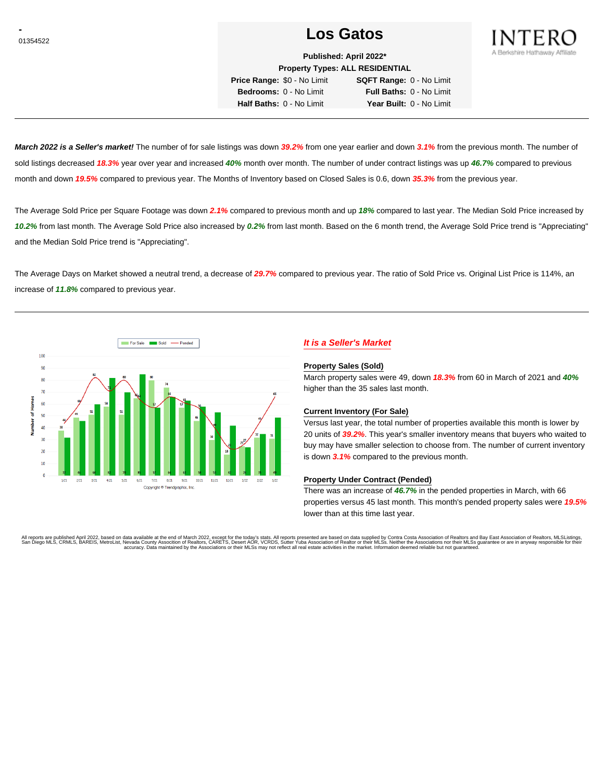# <sup>01354522</sup> **Los Gatos**



**Published: April 2022\* Property Types: ALL RESIDENTIAL**

**Price Range:** \$0 - No Limit **SQFT Range:** 0 - No Limit **Bedrooms:** 0 - No Limit **Full Baths:** 0 - No Limit **Half Baths:** 0 - No Limit **Year Built:** 0 - No Limit

**March 2022 is a Seller's market!** The number of for sale listings was down **39.2%** from one year earlier and down **3.1%** from the previous month. The number of sold listings decreased **18.3%** year over year and increased **40%** month over month. The number of under contract listings was up **46.7%** compared to previous month and down **19.5%** compared to previous year. The Months of Inventory based on Closed Sales is 0.6, down **35.3%** from the previous year.

The Average Sold Price per Square Footage was down **2.1%** compared to previous month and up **18%** compared to last year. The Median Sold Price increased by **10.2%** from last month. The Average Sold Price also increased by **0.2%** from last month. Based on the 6 month trend, the Average Sold Price trend is "Appreciating" and the Median Sold Price trend is "Appreciating".

The Average Days on Market showed a neutral trend, a decrease of **29.7%** compared to previous year. The ratio of Sold Price vs. Original List Price is 114%, an increase of **11.8%** compared to previous year.



## **It is a Seller's Market**

#### **Property Sales (Sold)**

March property sales were 49, down **18.3%** from 60 in March of 2021 and **40%** higher than the 35 sales last month.

### **Current Inventory (For Sale)**

Versus last year, the total number of properties available this month is lower by 20 units of **39.2%**. This year's smaller inventory means that buyers who waited to buy may have smaller selection to choose from. The number of current inventory is down **3.1%** compared to the previous month.

### **Property Under Contract (Pended)**

There was an increase of **46.7%** in the pended properties in March, with 66 properties versus 45 last month. This month's pended property sales were **19.5%** lower than at this time last year.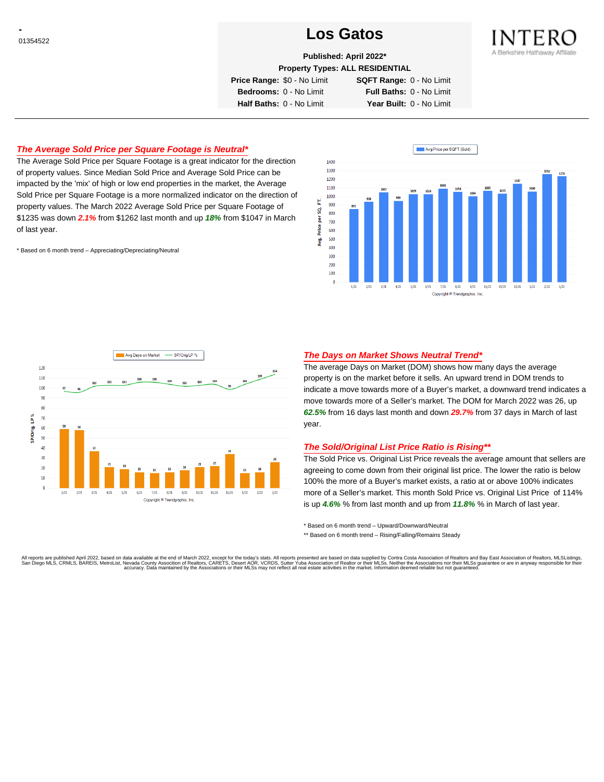# <sup>01354522</sup> **Los Gatos**



**Published: April 2022\***

**Property Types: ALL RESIDENTIAL**

**Price Range:** \$0 - No Limit **SQFT Range:** 0 - No Limit

**Bedrooms:** 0 - No Limit **Full Baths:** 0 - No Limit **Half Baths:** 0 - No Limit **Year Built:** 0 - No Limit

## **The Average Sold Price per Square Footage is Neutral\***

The Average Sold Price per Square Footage is a great indicator for the direction of property values. Since Median Sold Price and Average Sold Price can be impacted by the 'mix' of high or low end properties in the market, the Average Sold Price per Square Footage is a more normalized indicator on the direction of property values. The March 2022 Average Sold Price per Square Footage of \$1235 was down **2.1%** from \$1262 last month and up **18%** from \$1047 in March of last year.

\* Based on 6 month trend – Appreciating/Depreciating/Neutral





## **The Days on Market Shows Neutral Trend\***

The average Days on Market (DOM) shows how many days the average property is on the market before it sells. An upward trend in DOM trends to indicate a move towards more of a Buyer's market, a downward trend indicates a move towards more of a Seller's market. The DOM for March 2022 was 26, up **62.5%** from 16 days last month and down **29.7%** from 37 days in March of last year.

#### **The Sold/Original List Price Ratio is Rising\*\***

The Sold Price vs. Original List Price reveals the average amount that sellers are agreeing to come down from their original list price. The lower the ratio is below 100% the more of a Buyer's market exists, a ratio at or above 100% indicates more of a Seller's market. This month Sold Price vs. Original List Price of 114% is up **4.6%** % from last month and up from **11.8%** % in March of last year.

\* Based on 6 month trend – Upward/Downward/Neutral

\*\* Based on 6 month trend - Rising/Falling/Remains Steady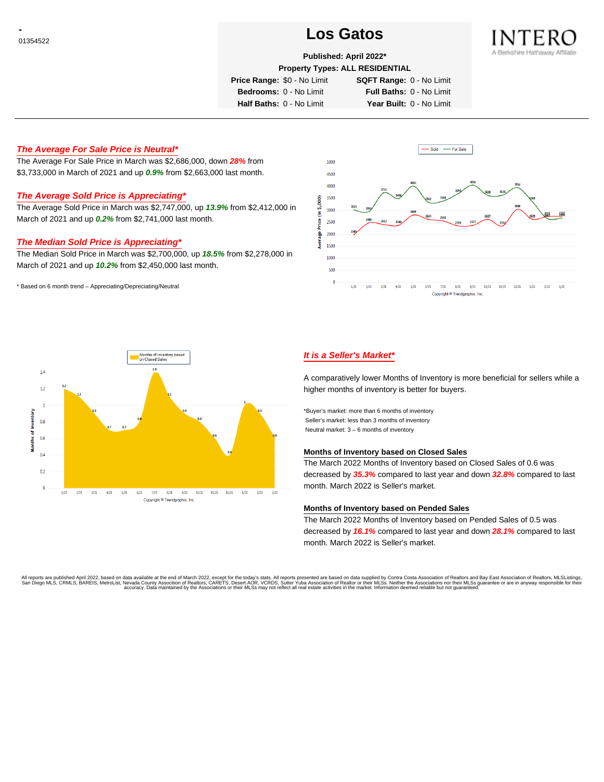# <sup>01354522</sup> **Los Gatos**



## **Published: April 2022\***

**Property Types: ALL RESIDENTIAL**

**Price Range:** \$0 - No Limit **SQFT Range:** 0 - No Limit

**Bedrooms:** 0 - No Limit **Full Baths:** 0 - No Limit **Half Baths:** 0 - No Limit **Year Built:** 0 - No Limit

## **The Average For Sale Price is Neutral\***

The Average For Sale Price in March was \$2,686,000, down **28%** from \$3,733,000 in March of 2021 and up **0.9%** from \$2,663,000 last month.

## **The Average Sold Price is Appreciating\***

The Average Sold Price in March was \$2,747,000, up **13.9%** from \$2,412,000 in March of 2021 and up **0.2%** from \$2,741,000 last month.

### **The Median Sold Price is Appreciating\***

The Median Sold Price in March was \$2,700,000, up **18.5%** from \$2,278,000 in March of 2021 and up **10.2%** from \$2,450,000 last month.

\* Based on 6 month trend – Appreciating/Depreciating/Neutral





## **It is a Seller's Market\***

A comparatively lower Months of Inventory is more beneficial for sellers while a higher months of inventory is better for buyers.

\*Buyer's market: more than 6 months of inventory Seller's market: less than 3 months of inventory Neutral market: 3 – 6 months of inventory

#### **Months of Inventory based on Closed Sales**

The March 2022 Months of Inventory based on Closed Sales of 0.6 was decreased by **35.3%** compared to last year and down **32.8%** compared to last month. March 2022 is Seller's market.

#### **Months of Inventory based on Pended Sales**

The March 2022 Months of Inventory based on Pended Sales of 0.5 was decreased by **16.1%** compared to last year and down **28.1%** compared to last month. March 2022 is Seller's market.